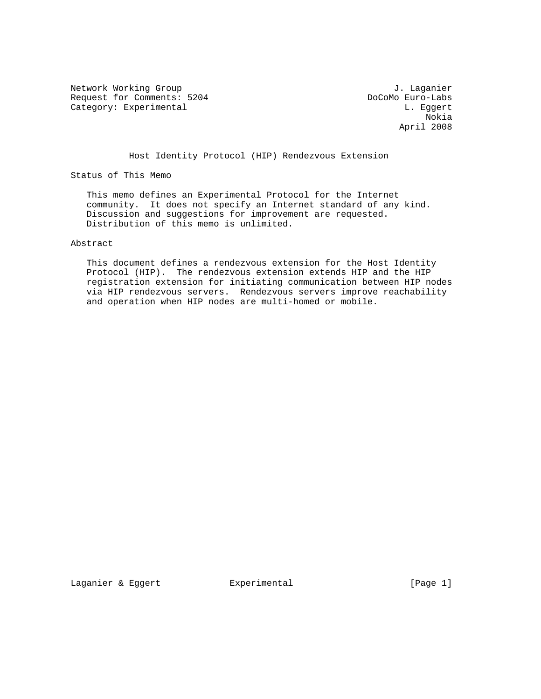Network Working Group J. Laganier Request for Comments: 5204 DoCoMo Euro-Labs<br>
Category: Experimental L. Eggert Category: Experimental

 Nokia April 2008

Host Identity Protocol (HIP) Rendezvous Extension

Status of This Memo

 This memo defines an Experimental Protocol for the Internet community. It does not specify an Internet standard of any kind. Discussion and suggestions for improvement are requested. Distribution of this memo is unlimited.

Abstract

 This document defines a rendezvous extension for the Host Identity Protocol (HIP). The rendezvous extension extends HIP and the HIP registration extension for initiating communication between HIP nodes via HIP rendezvous servers. Rendezvous servers improve reachability and operation when HIP nodes are multi-homed or mobile.

Laganier & Eggert Experimental Formula (Page 1)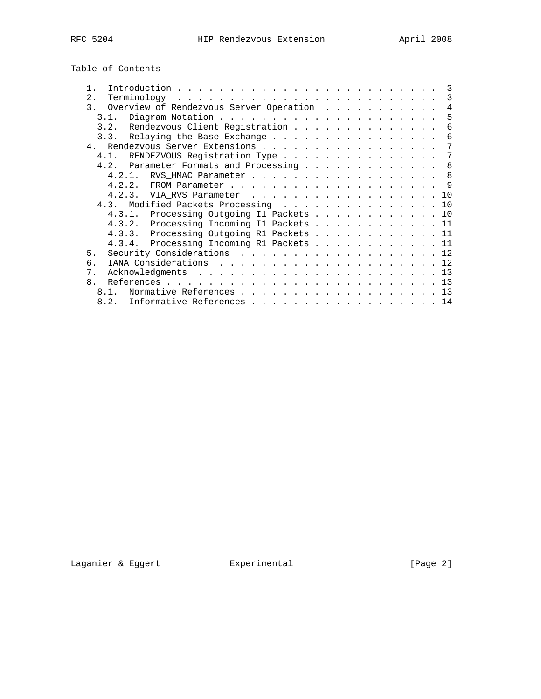Table of Contents

|                                            |  |  |  |  |  | -3  |
|--------------------------------------------|--|--|--|--|--|-----|
| 2.                                         |  |  |  |  |  | 3   |
| 3. Overview of Rendezvous Server Operation |  |  |  |  |  | 4   |
| 3.1.                                       |  |  |  |  |  | 5   |
| 3.2. Rendezvous Client Registration        |  |  |  |  |  | 6   |
| 3.3. Relaying the Base Exchange            |  |  |  |  |  | 6   |
| 4. Rendezvous Server Extensions            |  |  |  |  |  | 7   |
| 4.1. RENDEZVOUS Registration Type          |  |  |  |  |  | 7   |
| 4.2. Parameter Formats and Processing      |  |  |  |  |  | 8   |
| 4.2.1. RVS_HMAC Parameter 8                |  |  |  |  |  |     |
| 4.2.2.                                     |  |  |  |  |  | - 9 |
| 4.2.3. VIA RVS Parameter 10                |  |  |  |  |  |     |
| 4.3. Modified Packets Processing 10        |  |  |  |  |  |     |
| 4.3.1. Processing Outgoing Il Packets 10   |  |  |  |  |  |     |
| 4.3.2. Processing Incoming Il Packets 11   |  |  |  |  |  |     |
| 4.3.3. Processing Outgoing R1 Packets 11   |  |  |  |  |  |     |
| 4.3.4. Processing Incoming R1 Packets 11   |  |  |  |  |  |     |
| 5.<br>Security Considerations 12           |  |  |  |  |  |     |
| 6                                          |  |  |  |  |  |     |
| $7$ .                                      |  |  |  |  |  |     |
| $\mathsf{R}$                               |  |  |  |  |  |     |
| Normative References 13<br>8 1             |  |  |  |  |  |     |
| 8.2.<br>Informative References 14          |  |  |  |  |  |     |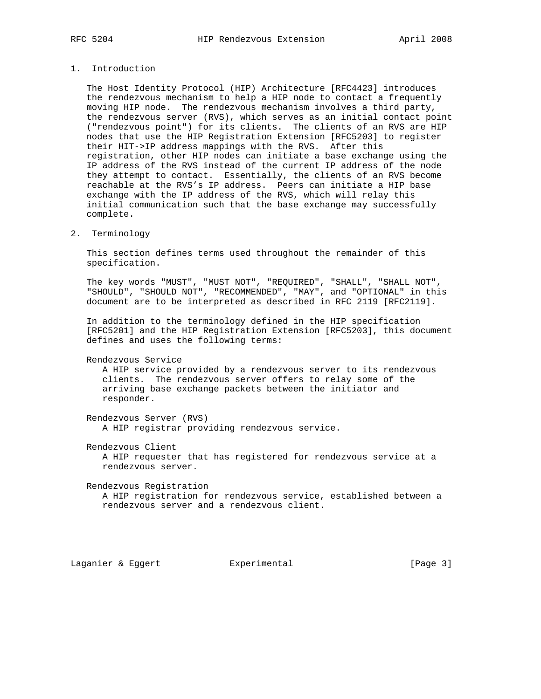## 1. Introduction

 The Host Identity Protocol (HIP) Architecture [RFC4423] introduces the rendezvous mechanism to help a HIP node to contact a frequently moving HIP node. The rendezvous mechanism involves a third party, the rendezvous server (RVS), which serves as an initial contact point ("rendezvous point") for its clients. The clients of an RVS are HIP nodes that use the HIP Registration Extension [RFC5203] to register their HIT->IP address mappings with the RVS. After this registration, other HIP nodes can initiate a base exchange using the IP address of the RVS instead of the current IP address of the node they attempt to contact. Essentially, the clients of an RVS become reachable at the RVS's IP address. Peers can initiate a HIP base exchange with the IP address of the RVS, which will relay this initial communication such that the base exchange may successfully complete.

2. Terminology

 This section defines terms used throughout the remainder of this specification.

 The key words "MUST", "MUST NOT", "REQUIRED", "SHALL", "SHALL NOT", "SHOULD", "SHOULD NOT", "RECOMMENDED", "MAY", and "OPTIONAL" in this document are to be interpreted as described in RFC 2119 [RFC2119].

 In addition to the terminology defined in the HIP specification [RFC5201] and the HIP Registration Extension [RFC5203], this document defines and uses the following terms:

Rendezvous Service

 A HIP service provided by a rendezvous server to its rendezvous clients. The rendezvous server offers to relay some of the arriving base exchange packets between the initiator and responder.

 Rendezvous Server (RVS) A HIP registrar providing rendezvous service.

Rendezvous Client

 A HIP requester that has registered for rendezvous service at a rendezvous server.

 Rendezvous Registration A HIP registration for rendezvous service, established between a rendezvous server and a rendezvous client.

Laganier & Eggert Experimental France (Page 3)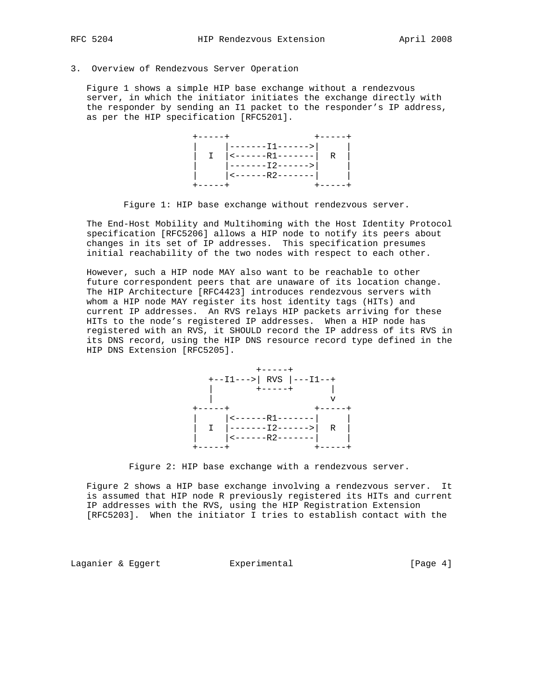## 3. Overview of Rendezvous Server Operation

 Figure 1 shows a simple HIP base exchange without a rendezvous server, in which the initiator initiates the exchange directly with the responder by sending an I1 packet to the responder's IP address, as per the HIP specification [RFC5201].



Figure 1: HIP base exchange without rendezvous server.

 The End-Host Mobility and Multihoming with the Host Identity Protocol specification [RFC5206] allows a HIP node to notify its peers about changes in its set of IP addresses. This specification presumes initial reachability of the two nodes with respect to each other.

 However, such a HIP node MAY also want to be reachable to other future correspondent peers that are unaware of its location change. The HIP Architecture [RFC4423] introduces rendezvous servers with whom a HIP node MAY register its host identity tags (HITs) and current IP addresses. An RVS relays HIP packets arriving for these HITs to the node's registered IP addresses. When a HIP node has registered with an RVS, it SHOULD record the IP address of its RVS in its DNS record, using the HIP DNS resource record type defined in the HIP DNS Extension [RFC5205].



Figure 2: HIP base exchange with a rendezvous server.

 Figure 2 shows a HIP base exchange involving a rendezvous server. It is assumed that HIP node R previously registered its HITs and current IP addresses with the RVS, using the HIP Registration Extension [RFC5203]. When the initiator I tries to establish contact with the

Laganier & Eggert Experimental Formula (Page 4)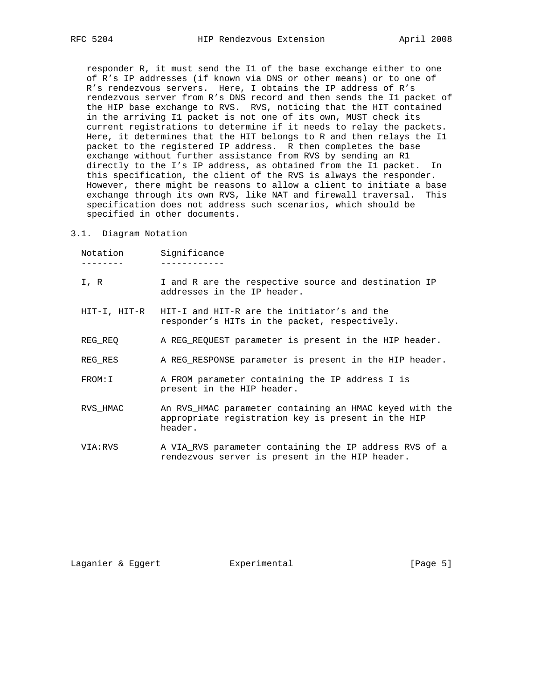responder R, it must send the I1 of the base exchange either to one of R's IP addresses (if known via DNS or other means) or to one of R's rendezvous servers. Here, I obtains the IP address of R's rendezvous server from R's DNS record and then sends the I1 packet of the HIP base exchange to RVS. RVS, noticing that the HIT contained in the arriving I1 packet is not one of its own, MUST check its current registrations to determine if it needs to relay the packets. Here, it determines that the HIT belongs to R and then relays the I1 packet to the registered IP address. R then completes the base exchange without further assistance from RVS by sending an R1 directly to the I's IP address, as obtained from the I1 packet. In this specification, the client of the RVS is always the responder. However, there might be reasons to allow a client to initiate a base exchange through its own RVS, like NAT and firewall traversal. This specification does not address such scenarios, which should be specified in other documents.

#### 3.1. Diagram Notation

| Notation | Significance                                                                                                             |
|----------|--------------------------------------------------------------------------------------------------------------------------|
| I, R     | I and R are the respective source and destination IP<br>addresses in the IP header.                                      |
|          | HIT-I, HIT-R    HIT-I and HIT-R are the initiator's and the<br>responder's HITs in the packet, respectively.             |
| REG REQ  | A REG_REQUEST parameter is present in the HIP header.                                                                    |
| REG RES  | A REG RESPONSE parameter is present in the HIP header.                                                                   |
| FROM: I  | A FROM parameter containing the IP address I is<br>present in the HIP header.                                            |
| RVS HMAC | An RVS HMAC parameter containing an HMAC keyed with the<br>appropriate registration key is present in the HIP<br>header. |
| VIA:RVS  | A VIA RVS parameter containing the IP address RVS of a<br>rendezvous server is present in the HIP header.                |
|          |                                                                                                                          |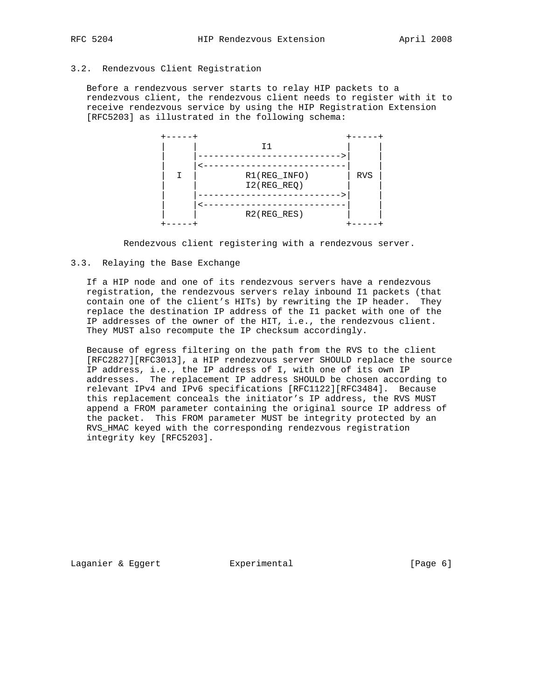## 3.2. Rendezvous Client Registration

 Before a rendezvous server starts to relay HIP packets to a rendezvous client, the rendezvous client needs to register with it to receive rendezvous service by using the HIP Registration Extension [RFC5203] as illustrated in the following schema:



Rendezvous client registering with a rendezvous server.

#### 3.3. Relaying the Base Exchange

 If a HIP node and one of its rendezvous servers have a rendezvous registration, the rendezvous servers relay inbound I1 packets (that contain one of the client's HITs) by rewriting the IP header. They replace the destination IP address of the I1 packet with one of the IP addresses of the owner of the HIT, i.e., the rendezvous client. They MUST also recompute the IP checksum accordingly.

 Because of egress filtering on the path from the RVS to the client [RFC2827][RFC3013], a HIP rendezvous server SHOULD replace the source IP address, i.e., the IP address of I, with one of its own IP addresses. The replacement IP address SHOULD be chosen according to relevant IPv4 and IPv6 specifications [RFC1122][RFC3484]. Because this replacement conceals the initiator's IP address, the RVS MUST append a FROM parameter containing the original source IP address of the packet. This FROM parameter MUST be integrity protected by an RVS\_HMAC keyed with the corresponding rendezvous registration integrity key [RFC5203].

Laganier & Eggert Experimental Formula (Page 6)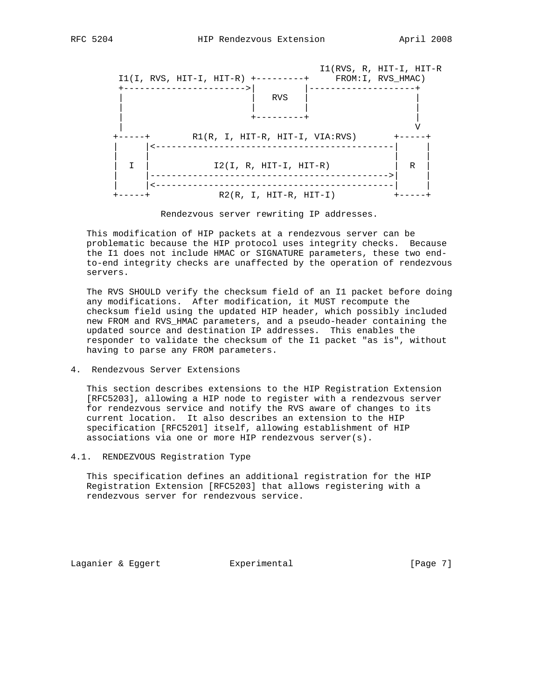

Rendezvous server rewriting IP addresses.

 This modification of HIP packets at a rendezvous server can be problematic because the HIP protocol uses integrity checks. Because the I1 does not include HMAC or SIGNATURE parameters, these two end to-end integrity checks are unaffected by the operation of rendezvous servers.

 The RVS SHOULD verify the checksum field of an I1 packet before doing any modifications. After modification, it MUST recompute the checksum field using the updated HIP header, which possibly included new FROM and RVS\_HMAC parameters, and a pseudo-header containing the updated source and destination IP addresses. This enables the responder to validate the checksum of the I1 packet "as is", without having to parse any FROM parameters.

4. Rendezvous Server Extensions

 This section describes extensions to the HIP Registration Extension [RFC5203], allowing a HIP node to register with a rendezvous server for rendezvous service and notify the RVS aware of changes to its current location. It also describes an extension to the HIP specification [RFC5201] itself, allowing establishment of HIP associations via one or more HIP rendezvous server(s).

4.1. RENDEZVOUS Registration Type

 This specification defines an additional registration for the HIP Registration Extension [RFC5203] that allows registering with a rendezvous server for rendezvous service.

Laganier & Eggert Experimental France (Page 7)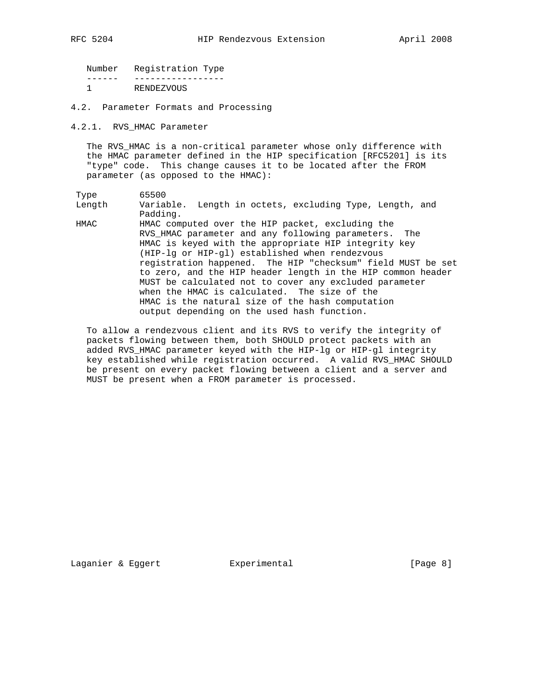Number Registration Type ------ ----------------- 1 RENDEZVOUS

4.2. Parameter Formats and Processing

4.2.1. RVS\_HMAC Parameter

 The RVS\_HMAC is a non-critical parameter whose only difference with the HMAC parameter defined in the HIP specification [RFC5201] is its "type" code. This change causes it to be located after the FROM parameter (as opposed to the HMAC):

 Type 65500 Length Variable. Length in octets, excluding Type, Length, and Padding. HMAC HMAC computed over the HIP packet, excluding the RVS\_HMAC parameter and any following parameters. The HMAC is keyed with the appropriate HIP integrity key (HIP-lg or HIP-gl) established when rendezvous registration happened. The HIP "checksum" field MUST be set to zero, and the HIP header length in the HIP common header

 MUST be calculated not to cover any excluded parameter when the HMAC is calculated. The size of the HMAC is the natural size of the hash computation output depending on the used hash function.

 To allow a rendezvous client and its RVS to verify the integrity of packets flowing between them, both SHOULD protect packets with an added RVS\_HMAC parameter keyed with the HIP-lg or HIP-gl integrity key established while registration occurred. A valid RVS\_HMAC SHOULD be present on every packet flowing between a client and a server and MUST be present when a FROM parameter is processed.

Laganier & Eggert Experimental France (Page 8)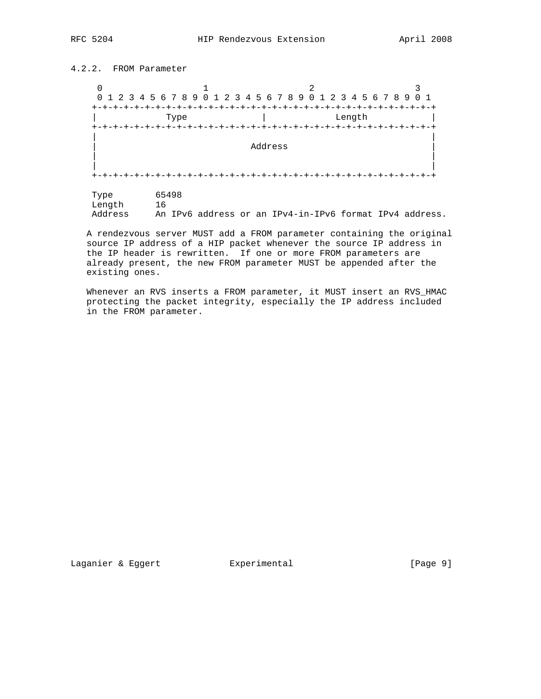## 4.2.2. FROM Parameter

| 0               |                  |                                                           |     |  |  |
|-----------------|------------------|-----------------------------------------------------------|-----|--|--|
| $\Omega$        |                  | 1 2 3 4 5 6 7 8 9 0 1 2 3 4 5 6 7 8 9 0 1 2 3 4 5 6 7 8 9 | 0 1 |  |  |
| $+ - + - + - +$ |                  |                                                           |     |  |  |
|                 | Type             | Length                                                    |     |  |  |
|                 | -+-+-+-+-+-+-+-+ | -+-+-+-+-+-+-+<br>-+-+-+-+-+-+-+-+-+-+                    |     |  |  |
|                 |                  |                                                           |     |  |  |
|                 |                  | Address                                                   |     |  |  |
|                 |                  |                                                           |     |  |  |
|                 |                  |                                                           |     |  |  |
|                 |                  |                                                           |     |  |  |
|                 |                  |                                                           |     |  |  |
| Type            | 65498            |                                                           |     |  |  |
| Length          | 16               |                                                           |     |  |  |
| Address         |                  | An IPv6 address or an IPv4-in-IPv6 format IPv4 address.   |     |  |  |

 A rendezvous server MUST add a FROM parameter containing the original source IP address of a HIP packet whenever the source IP address in the IP header is rewritten. If one or more FROM parameters are already present, the new FROM parameter MUST be appended after the existing ones.

 Whenever an RVS inserts a FROM parameter, it MUST insert an RVS\_HMAC protecting the packet integrity, especially the IP address included in the FROM parameter.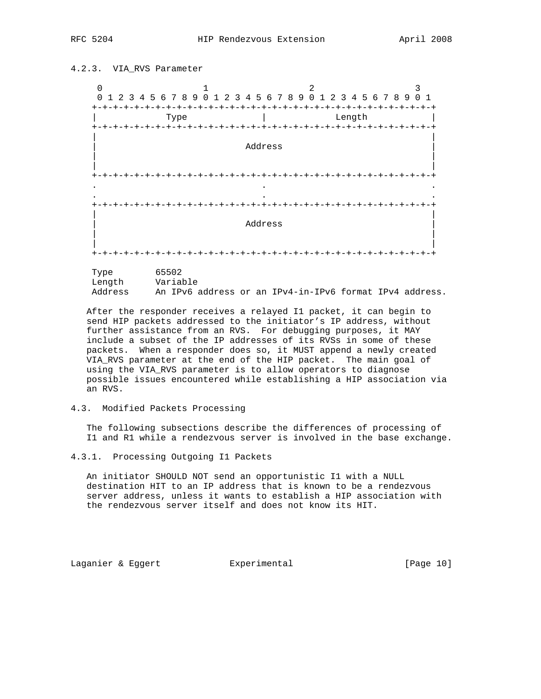4.2.3. VIA\_RVS Parameter

## $0$  and  $1$  and  $2$  3 0 1 2 3 4 5 6 7 8 9 0 1 2 3 4 5 6 7 8 9 0 1 2 3 4 5 6 7 8 9 0 1 +-+-+-+-+-+-+-+-+-+-+-+-+-+-+-+-+-+-+-+-+-+-+-+-+-+-+-+-+-+-+-+-+ | Type | Length | +-+-+-+-+-+-+-+-+-+-+-+-+-+-+-+-+-+-+-+-+-+-+-+-+-+-+-+-+-+-+-+-+ | | | Address | | | | | +-+-+-+-+-+-+-+-+-+-+-+-+-+-+-+-+-+-+-+-+-+-+-+-+-+-+-+-+-+-+-+-+ . . . . . . +-+-+-+-+-+-+-+-+-+-+-+-+-+-+-+-+-+-+-+-+-+-+-+-+-+-+-+-+-+-+-+-+ | | | Address | | | | | +-+-+-+-+-+-+-+-+-+-+-+-+-+-+-+-+-+-+-+-+-+-+-+-+-+-+-+-+-+-+-+-+

| Type    | 65502 |          |  |                                                         |  |  |
|---------|-------|----------|--|---------------------------------------------------------|--|--|
| Lenath  |       | Variable |  |                                                         |  |  |
| Address |       |          |  | An IPv6 address or an IPv4-in-IPv6 format IPv4 address. |  |  |

 After the responder receives a relayed I1 packet, it can begin to send HIP packets addressed to the initiator's IP address, without further assistance from an RVS. For debugging purposes, it MAY include a subset of the IP addresses of its RVSs in some of these packets. When a responder does so, it MUST append a newly created VIA\_RVS parameter at the end of the HIP packet. The main goal of using the VIA\_RVS parameter is to allow operators to diagnose possible issues encountered while establishing a HIP association via an RVS.

### 4.3. Modified Packets Processing

 The following subsections describe the differences of processing of I1 and R1 while a rendezvous server is involved in the base exchange.

 An initiator SHOULD NOT send an opportunistic I1 with a NULL destination HIT to an IP address that is known to be a rendezvous server address, unless it wants to establish a HIP association with the rendezvous server itself and does not know its HIT.

Laganier & Eggert Experimental [Page 10]

<sup>4.3.1.</sup> Processing Outgoing I1 Packets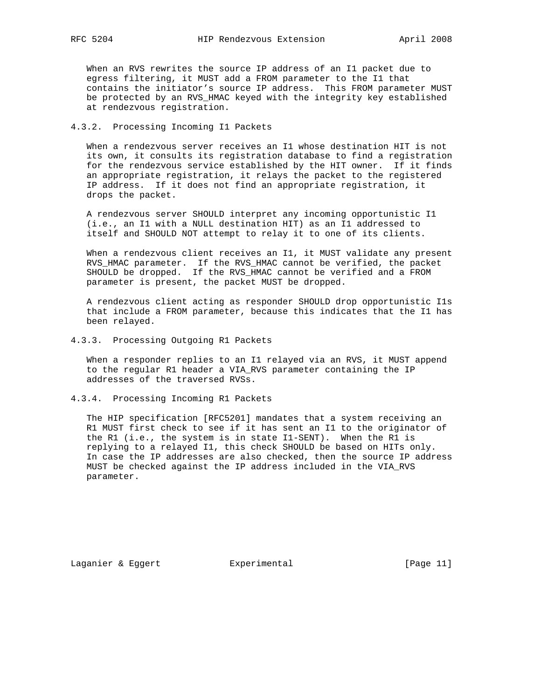When an RVS rewrites the source IP address of an I1 packet due to egress filtering, it MUST add a FROM parameter to the I1 that contains the initiator's source IP address. This FROM parameter MUST be protected by an RVS\_HMAC keyed with the integrity key established at rendezvous registration.

### 4.3.2. Processing Incoming I1 Packets

 When a rendezvous server receives an I1 whose destination HIT is not its own, it consults its registration database to find a registration for the rendezvous service established by the HIT owner. If it finds an appropriate registration, it relays the packet to the registered IP address. If it does not find an appropriate registration, it drops the packet.

 A rendezvous server SHOULD interpret any incoming opportunistic I1 (i.e., an I1 with a NULL destination HIT) as an I1 addressed to itself and SHOULD NOT attempt to relay it to one of its clients.

 When a rendezvous client receives an I1, it MUST validate any present RVS\_HMAC parameter. If the RVS\_HMAC cannot be verified, the packet SHOULD be dropped. If the RVS\_HMAC cannot be verified and a FROM parameter is present, the packet MUST be dropped.

 A rendezvous client acting as responder SHOULD drop opportunistic I1s that include a FROM parameter, because this indicates that the I1 has been relayed.

4.3.3. Processing Outgoing R1 Packets

 When a responder replies to an I1 relayed via an RVS, it MUST append to the regular R1 header a VIA\_RVS parameter containing the IP addresses of the traversed RVSs.

4.3.4. Processing Incoming R1 Packets

 The HIP specification [RFC5201] mandates that a system receiving an R1 MUST first check to see if it has sent an I1 to the originator of the R1 (i.e., the system is in state I1-SENT). When the R1 is replying to a relayed I1, this check SHOULD be based on HITs only. In case the IP addresses are also checked, then the source IP address MUST be checked against the IP address included in the VIA\_RVS parameter.

Laganier & Eggert Experimental Formula (Page 11)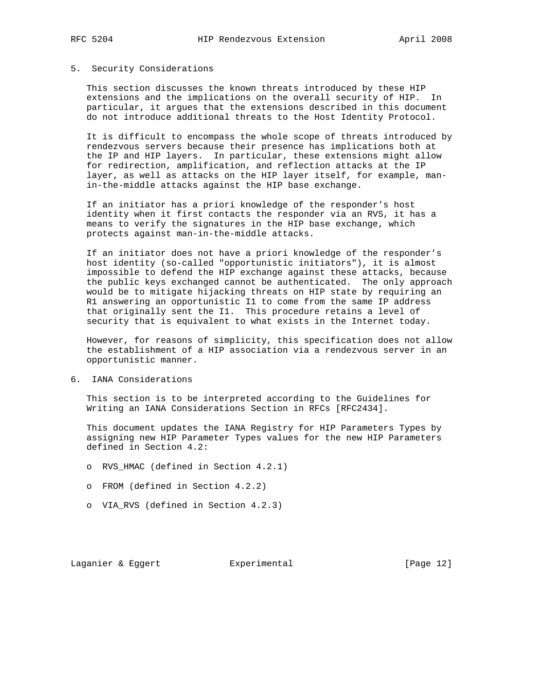# 5. Security Considerations

 This section discusses the known threats introduced by these HIP extensions and the implications on the overall security of HIP. In particular, it argues that the extensions described in this document do not introduce additional threats to the Host Identity Protocol.

 It is difficult to encompass the whole scope of threats introduced by rendezvous servers because their presence has implications both at the IP and HIP layers. In particular, these extensions might allow for redirection, amplification, and reflection attacks at the IP layer, as well as attacks on the HIP layer itself, for example, man in-the-middle attacks against the HIP base exchange.

 If an initiator has a priori knowledge of the responder's host identity when it first contacts the responder via an RVS, it has a means to verify the signatures in the HIP base exchange, which protects against man-in-the-middle attacks.

 If an initiator does not have a priori knowledge of the responder's host identity (so-called "opportunistic initiators"), it is almost impossible to defend the HIP exchange against these attacks, because the public keys exchanged cannot be authenticated. The only approach would be to mitigate hijacking threats on HIP state by requiring an R1 answering an opportunistic I1 to come from the same IP address that originally sent the I1. This procedure retains a level of security that is equivalent to what exists in the Internet today.

 However, for reasons of simplicity, this specification does not allow the establishment of a HIP association via a rendezvous server in an opportunistic manner.

6. IANA Considerations

 This section is to be interpreted according to the Guidelines for Writing an IANA Considerations Section in RFCs [RFC2434].

 This document updates the IANA Registry for HIP Parameters Types by assigning new HIP Parameter Types values for the new HIP Parameters defined in Section 4.2:

- o RVS\_HMAC (defined in Section 4.2.1)
- o FROM (defined in Section 4.2.2)
- o VIA\_RVS (defined in Section 4.2.3)

Laganier & Eggert Experimental Formula (Page 12)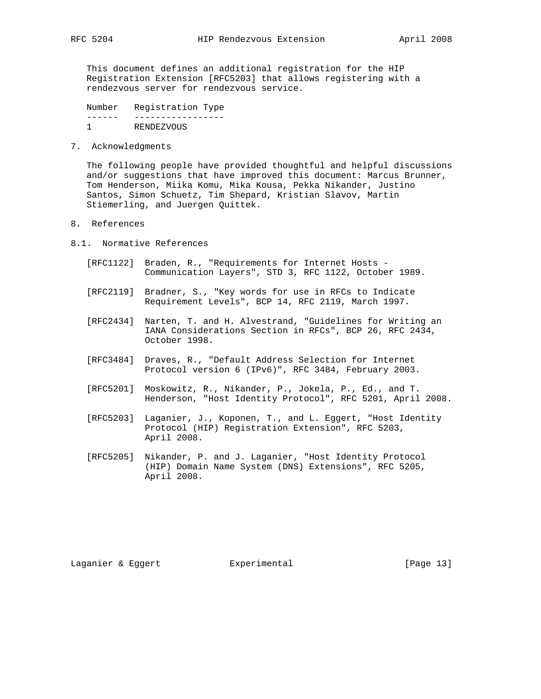This document defines an additional registration for the HIP Registration Extension [RFC5203] that allows registering with a rendezvous server for rendezvous service.

 Number Registration Type ------ ----------------- RENDEZVOUS

7. Acknowledgments

 The following people have provided thoughtful and helpful discussions and/or suggestions that have improved this document: Marcus Brunner, Tom Henderson, Miika Komu, Mika Kousa, Pekka Nikander, Justino Santos, Simon Schuetz, Tim Shepard, Kristian Slavov, Martin Stiemerling, and Juergen Quittek.

- 8. References
- 8.1. Normative References
	- [RFC1122] Braden, R., "Requirements for Internet Hosts Communication Layers", STD 3, RFC 1122, October 1989.
	- [RFC2119] Bradner, S., "Key words for use in RFCs to Indicate Requirement Levels", BCP 14, RFC 2119, March 1997.
	- [RFC2434] Narten, T. and H. Alvestrand, "Guidelines for Writing an IANA Considerations Section in RFCs", BCP 26, RFC 2434, October 1998.
	- [RFC3484] Draves, R., "Default Address Selection for Internet Protocol version 6 (IPv6)", RFC 3484, February 2003.
	- [RFC5201] Moskowitz, R., Nikander, P., Jokela, P., Ed., and T. Henderson, "Host Identity Protocol", RFC 5201, April 2008.
	- [RFC5203] Laganier, J., Koponen, T., and L. Eggert, "Host Identity Protocol (HIP) Registration Extension", RFC 5203, April 2008.
	- [RFC5205] Nikander, P. and J. Laganier, "Host Identity Protocol (HIP) Domain Name System (DNS) Extensions", RFC 5205, April 2008.

Laganier & Eggert Experimental Formula (Page 13)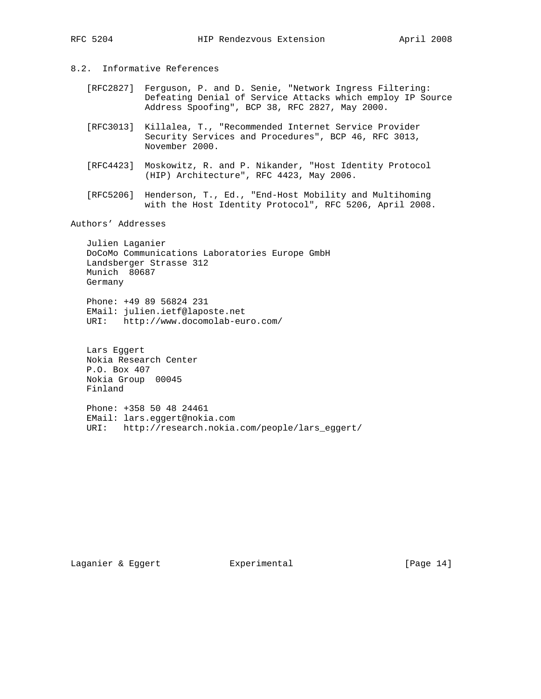## 8.2. Informative References

- [RFC2827] Ferguson, P. and D. Senie, "Network Ingress Filtering: Defeating Denial of Service Attacks which employ IP Source Address Spoofing", BCP 38, RFC 2827, May 2000.
- [RFC3013] Killalea, T., "Recommended Internet Service Provider Security Services and Procedures", BCP 46, RFC 3013, November 2000.
- [RFC4423] Moskowitz, R. and P. Nikander, "Host Identity Protocol (HIP) Architecture", RFC 4423, May 2006.
- [RFC5206] Henderson, T., Ed., "End-Host Mobility and Multihoming with the Host Identity Protocol", RFC 5206, April 2008.

## Authors' Addresses

 Julien Laganier DoCoMo Communications Laboratories Europe GmbH Landsberger Strasse 312 Munich 80687 Germany

 Phone: +49 89 56824 231 EMail: julien.ietf@laposte.net URI: http://www.docomolab-euro.com/

 Lars Eggert Nokia Research Center P.O. Box 407 Nokia Group 00045 Finland

 Phone: +358 50 48 24461 EMail: lars.eggert@nokia.com URI: http://research.nokia.com/people/lars\_eggert/